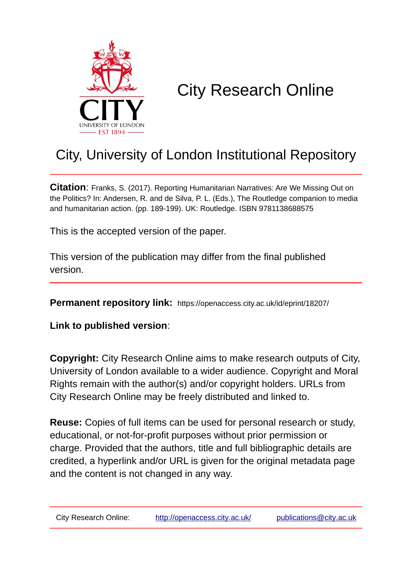

# City Research Online

# City, University of London Institutional Repository

**Citation**: Franks, S. (2017). Reporting Humanitarian Narratives: Are We Missing Out on the Politics? In: Andersen, R. and de Silva, P. L. (Eds.), The Routledge companion to media and humanitarian action. (pp. 189-199). UK: Routledge. ISBN 9781138688575

This is the accepted version of the paper.

This version of the publication may differ from the final published version.

**Permanent repository link:** https://openaccess.city.ac.uk/id/eprint/18207/

**Link to published version**:

**Copyright:** City Research Online aims to make research outputs of City, University of London available to a wider audience. Copyright and Moral Rights remain with the author(s) and/or copyright holders. URLs from City Research Online may be freely distributed and linked to.

**Reuse:** Copies of full items can be used for personal research or study, educational, or not-for-profit purposes without prior permission or charge. Provided that the authors, title and full bibliographic details are credited, a hyperlink and/or URL is given for the original metadata page and the content is not changed in any way.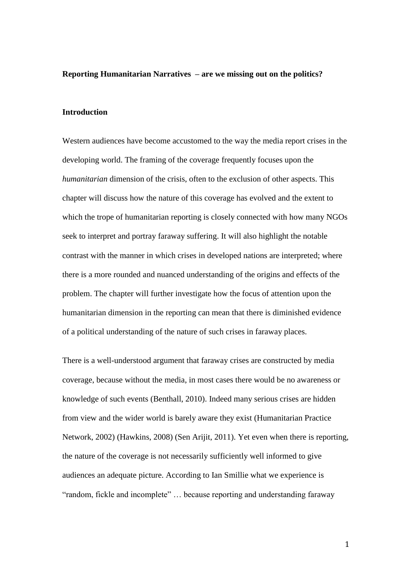#### **Reporting Humanitarian Narratives – are we missing out on the politics?**

# **Introduction**

Western audiences have become accustomed to the way the media report crises in the developing world. The framing of the coverage frequently focuses upon the *humanitarian* dimension of the crisis, often to the exclusion of other aspects. This chapter will discuss how the nature of this coverage has evolved and the extent to which the trope of humanitarian reporting is closely connected with how many NGOs seek to interpret and portray faraway suffering. It will also highlight the notable contrast with the manner in which crises in developed nations are interpreted; where there is a more rounded and nuanced understanding of the origins and effects of the problem. The chapter will further investigate how the focus of attention upon the humanitarian dimension in the reporting can mean that there is diminished evidence of a political understanding of the nature of such crises in faraway places.

There is a well-understood argument that faraway crises are constructed by media coverage, because without the media, in most cases there would be no awareness or knowledge of such events (Benthall, 2010). Indeed many serious crises are hidden from view and the wider world is barely aware they exist (Humanitarian Practice Network, 2002) (Hawkins, 2008) (Sen Arijit, 2011). Yet even when there is reporting, the nature of the coverage is not necessarily sufficiently well informed to give audiences an adequate picture. According to Ian Smillie what we experience is "random, fickle and incomplete" … because reporting and understanding faraway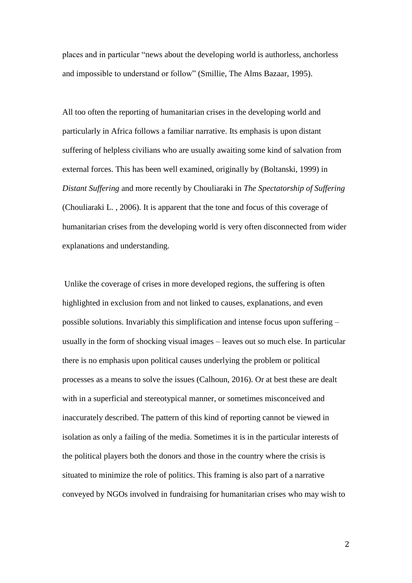places and in particular "news about the developing world is authorless, anchorless and impossible to understand or follow" (Smillie, The Alms Bazaar, 1995).

All too often the reporting of humanitarian crises in the developing world and particularly in Africa follows a familiar narrative. Its emphasis is upon distant suffering of helpless civilians who are usually awaiting some kind of salvation from external forces. This has been well examined, originally by (Boltanski, 1999) in *Distant Suffering* and more recently by Chouliaraki in *The Spectatorship of Suffering* (Chouliaraki L. , 2006). It is apparent that the tone and focus of this coverage of humanitarian crises from the developing world is very often disconnected from wider explanations and understanding.

Unlike the coverage of crises in more developed regions, the suffering is often highlighted in exclusion from and not linked to causes, explanations, and even possible solutions. Invariably this simplification and intense focus upon suffering – usually in the form of shocking visual images – leaves out so much else. In particular there is no emphasis upon political causes underlying the problem or political processes as a means to solve the issues (Calhoun, 2016). Or at best these are dealt with in a superficial and stereotypical manner, or sometimes misconceived and inaccurately described. The pattern of this kind of reporting cannot be viewed in isolation as only a failing of the media. Sometimes it is in the particular interests of the political players both the donors and those in the country where the crisis is situated to minimize the role of politics. This framing is also part of a narrative conveyed by NGOs involved in fundraising for humanitarian crises who may wish to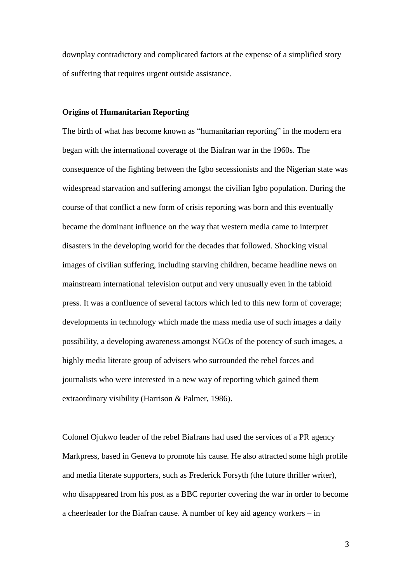downplay contradictory and complicated factors at the expense of a simplified story of suffering that requires urgent outside assistance.

## **Origins of Humanitarian Reporting**

The birth of what has become known as "humanitarian reporting" in the modern era began with the international coverage of the Biafran war in the 1960s. The consequence of the fighting between the Igbo secessionists and the Nigerian state was widespread starvation and suffering amongst the civilian Igbo population. During the course of that conflict a new form of crisis reporting was born and this eventually became the dominant influence on the way that western media came to interpret disasters in the developing world for the decades that followed. Shocking visual images of civilian suffering, including starving children, became headline news on mainstream international television output and very unusually even in the tabloid press. It was a confluence of several factors which led to this new form of coverage; developments in technology which made the mass media use of such images a daily possibility, a developing awareness amongst NGOs of the potency of such images, a highly media literate group of advisers who surrounded the rebel forces and journalists who were interested in a new way of reporting which gained them extraordinary visibility (Harrison & Palmer, 1986).

Colonel Ojukwo leader of the rebel Biafrans had used the services of a PR agency Markpress, based in Geneva to promote his cause. He also attracted some high profile and media literate supporters, such as Frederick Forsyth (the future thriller writer), who disappeared from his post as a BBC reporter covering the war in order to become a cheerleader for the Biafran cause. A number of key aid agency workers – in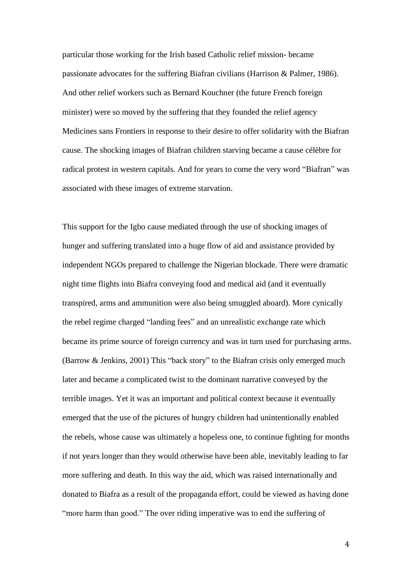particular those working for the Irish based Catholic relief mission- became passionate advocates for the suffering Biafran civilians (Harrison & Palmer, 1986). And other relief workers such as Bernard Kouchner (the future French foreign minister) were so moved by the suffering that they founded the relief agency Medicines sans Frontiers in response to their desire to offer solidarity with the Biafran cause. The shocking images of Biafran children starving became a cause célèbre for radical protest in western capitals. And for years to come the very word "Biafran" was associated with these images of extreme starvation.

This support for the Igbo cause mediated through the use of shocking images of hunger and suffering translated into a huge flow of aid and assistance provided by independent NGOs prepared to challenge the Nigerian blockade. There were dramatic night time flights into Biafra conveying food and medical aid (and it eventually transpired, arms and ammunition were also being smuggled aboard). More cynically the rebel regime charged "landing fees" and an unrealistic exchange rate which became its prime source of foreign currency and was in turn used for purchasing arms. (Barrow & Jenkins, 2001) This "back story" to the Biafran crisis only emerged much later and became a complicated twist to the dominant narrative conveyed by the terrible images. Yet it was an important and political context because it eventually emerged that the use of the pictures of hungry children had unintentionally enabled the rebels, whose cause was ultimately a hopeless one, to continue fighting for months if not years longer than they would otherwise have been able, inevitably leading to far more suffering and death. In this way the aid, which was raised internationally and donated to Biafra as a result of the propaganda effort, could be viewed as having done "more harm than good." The over riding imperative was to end the suffering of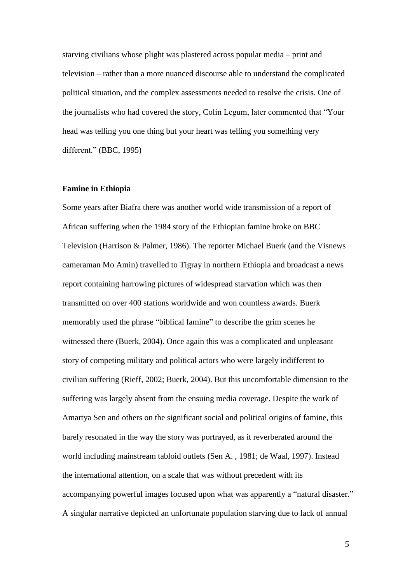starving civilians whose plight was plastered across popular media – print and television – rather than a more nuanced discourse able to understand the complicated political situation, and the complex assessments needed to resolve the crisis. One of the journalists who had covered the story, Colin Legum, later commented that "Your head was telling you one thing but your heart was telling you something very different." (BBC, 1995)

### **Famine in Ethiopia**

Some years after Biafra there was another world wide transmission of a report of African suffering when the 1984 story of the Ethiopian famine broke on BBC Television (Harrison & Palmer, 1986). The reporter Michael Buerk (and the Visnews cameraman Mo Amin) travelled to Tigray in northern Ethiopia and broadcast a news report containing harrowing pictures of widespread starvation which was then transmitted on over 400 stations worldwide and won countless awards. Buerk memorably used the phrase "biblical famine" to describe the grim scenes he witnessed there (Buerk, 2004). Once again this was a complicated and unpleasant story of competing military and political actors who were largely indifferent to civilian suffering (Rieff, 2002; Buerk, 2004). But this uncomfortable dimension to the suffering was largely absent from the ensuing media coverage. Despite the work of Amartya Sen and others on the significant social and political origins of famine, this barely resonated in the way the story was portrayed, as it reverberated around the world including mainstream tabloid outlets (Sen A. , 1981; de Waal, 1997). Instead the international attention, on a scale that was without precedent with its accompanying powerful images focused upon what was apparently a "natural disaster." A singular narrative depicted an unfortunate population starving due to lack of annual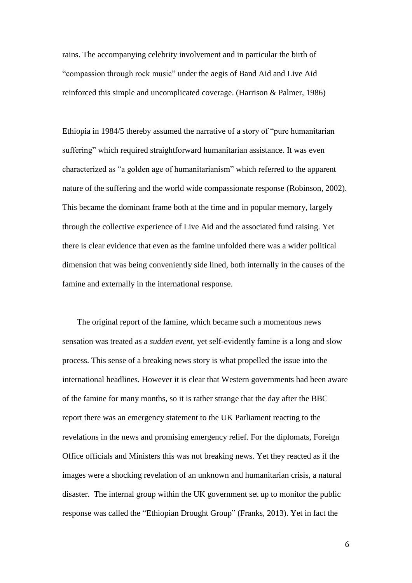rains. The accompanying celebrity involvement and in particular the birth of "compassion through rock music" under the aegis of Band Aid and Live Aid reinforced this simple and uncomplicated coverage. (Harrison & Palmer, 1986)

Ethiopia in 1984/5 thereby assumed the narrative of a story of "pure humanitarian suffering" which required straightforward humanitarian assistance. It was even characterized as "a golden age of humanitarianism" which referred to the apparent nature of the suffering and the world wide compassionate response (Robinson, 2002). This became the dominant frame both at the time and in popular memory, largely through the collective experience of Live Aid and the associated fund raising. Yet there is clear evidence that even as the famine unfolded there was a wider political dimension that was being conveniently side lined, both internally in the causes of the famine and externally in the international response.

The original report of the famine, which became such a momentous news sensation was treated as a *sudden event*, yet self-evidently famine is a long and slow process. This sense of a breaking news story is what propelled the issue into the international headlines. However it is clear that Western governments had been aware of the famine for many months, so it is rather strange that the day after the BBC report there was an emergency statement to the UK Parliament reacting to the revelations in the news and promising emergency relief. For the diplomats, Foreign Office officials and Ministers this was not breaking news. Yet they reacted as if the images were a shocking revelation of an unknown and humanitarian crisis, a natural disaster. The internal group within the UK government set up to monitor the public response was called the "Ethiopian Drought Group" (Franks, 2013). Yet in fact the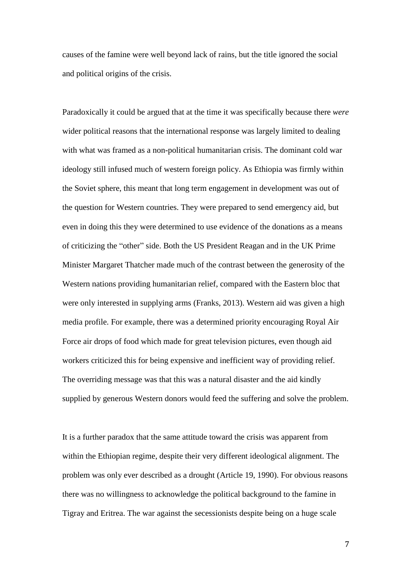causes of the famine were well beyond lack of rains, but the title ignored the social and political origins of the crisis.

Paradoxically it could be argued that at the time it was specifically because there *were* wider political reasons that the international response was largely limited to dealing with what was framed as a non-political humanitarian crisis. The dominant cold war ideology still infused much of western foreign policy. As Ethiopia was firmly within the Soviet sphere, this meant that long term engagement in development was out of the question for Western countries. They were prepared to send emergency aid, but even in doing this they were determined to use evidence of the donations as a means of criticizing the "other" side. Both the US President Reagan and in the UK Prime Minister Margaret Thatcher made much of the contrast between the generosity of the Western nations providing humanitarian relief, compared with the Eastern bloc that were only interested in supplying arms (Franks, 2013). Western aid was given a high media profile. For example, there was a determined priority encouraging Royal Air Force air drops of food which made for great television pictures, even though aid workers criticized this for being expensive and inefficient way of providing relief. The overriding message was that this was a natural disaster and the aid kindly supplied by generous Western donors would feed the suffering and solve the problem.

It is a further paradox that the same attitude toward the crisis was apparent from within the Ethiopian regime, despite their very different ideological alignment. The problem was only ever described as a drought (Article 19, 1990). For obvious reasons there was no willingness to acknowledge the political background to the famine in Tigray and Eritrea. The war against the secessionists despite being on a huge scale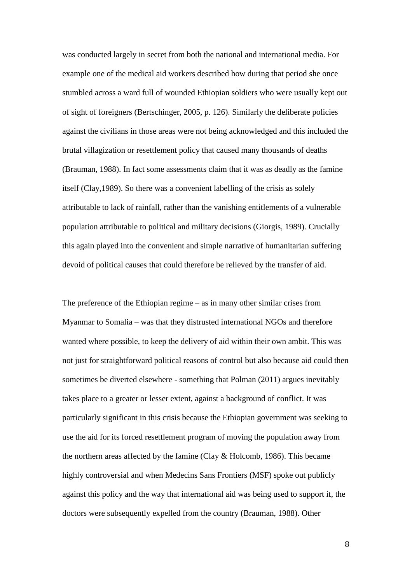was conducted largely in secret from both the national and international media. For example one of the medical aid workers described how during that period she once stumbled across a ward full of wounded Ethiopian soldiers who were usually kept out of sight of foreigners (Bertschinger, 2005, p. 126). Similarly the deliberate policies against the civilians in those areas were not being acknowledged and this included the brutal villagization or resettlement policy that caused many thousands of deaths (Brauman, 1988). In fact some assessments claim that it was as deadly as the famine itself (Clay,1989). So there was a convenient labelling of the crisis as solely attributable to lack of rainfall, rather than the vanishing entitlements of a vulnerable population attributable to political and military decisions (Giorgis, 1989). Crucially this again played into the convenient and simple narrative of humanitarian suffering devoid of political causes that could therefore be relieved by the transfer of aid.

The preference of the Ethiopian regime – as in many other similar crises from Myanmar to Somalia – was that they distrusted international NGOs and therefore wanted where possible, to keep the delivery of aid within their own ambit. This was not just for straightforward political reasons of control but also because aid could then sometimes be diverted elsewhere - something that Polman (2011) argues inevitably takes place to a greater or lesser extent, against a background of conflict. It was particularly significant in this crisis because the Ethiopian government was seeking to use the aid for its forced resettlement program of moving the population away from the northern areas affected by the famine (Clay & Holcomb, 1986). This became highly controversial and when Medecins Sans Frontiers (MSF) spoke out publicly against this policy and the way that international aid was being used to support it, the doctors were subsequently expelled from the country (Brauman, 1988). Other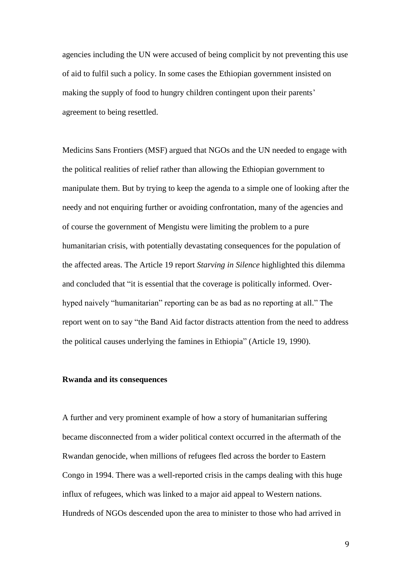agencies including the UN were accused of being complicit by not preventing this use of aid to fulfil such a policy. In some cases the Ethiopian government insisted on making the supply of food to hungry children contingent upon their parents' agreement to being resettled.

Medicins Sans Frontiers (MSF) argued that NGOs and the UN needed to engage with the political realities of relief rather than allowing the Ethiopian government to manipulate them. But by trying to keep the agenda to a simple one of looking after the needy and not enquiring further or avoiding confrontation, many of the agencies and of course the government of Mengistu were limiting the problem to a pure humanitarian crisis, with potentially devastating consequences for the population of the affected areas. The Article 19 report *Starving in Silence* highlighted this dilemma and concluded that "it is essential that the coverage is politically informed. Overhyped naively "humanitarian" reporting can be as bad as no reporting at all." The report went on to say "the Band Aid factor distracts attention from the need to address the political causes underlying the famines in Ethiopia" (Article 19, 1990).

# **Rwanda and its consequences**

A further and very prominent example of how a story of humanitarian suffering became disconnected from a wider political context occurred in the aftermath of the Rwandan genocide, when millions of refugees fled across the border to Eastern Congo in 1994. There was a well-reported crisis in the camps dealing with this huge influx of refugees, which was linked to a major aid appeal to Western nations. Hundreds of NGOs descended upon the area to minister to those who had arrived in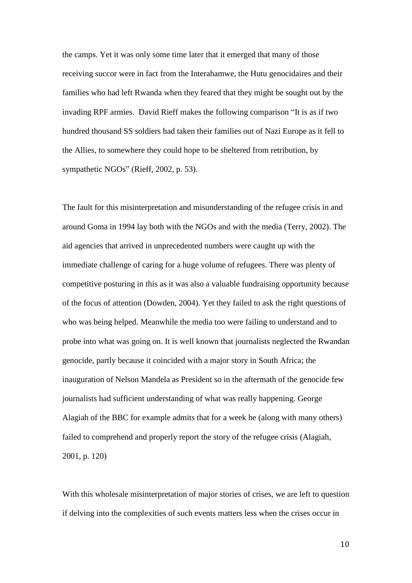the camps. Yet it was only some time later that it emerged that many of those receiving succor were in fact from the Interahamwe, the Hutu genocidaires and their families who had left Rwanda when they feared that they might be sought out by the invading RPF armies. David Rieff makes the following comparison "It is as if two hundred thousand SS soldiers had taken their families out of Nazi Europe as it fell to the Allies, to somewhere they could hope to be sheltered from retribution, by sympathetic NGOs" (Rieff, 2002, p. 53).

The fault for this misinterpretation and misunderstanding of the refugee crisis in and around Goma in 1994 lay both with the NGOs and with the media (Terry, 2002). The aid agencies that arrived in unprecedented numbers were caught up with the immediate challenge of caring for a huge volume of refugees. There was plenty of competitive posturing in this as it was also a valuable fundraising opportunity because of the focus of attention (Dowden, 2004). Yet they failed to ask the right questions of who was being helped. Meanwhile the media too were failing to understand and to probe into what was going on. It is well known that journalists neglected the Rwandan genocide, partly because it coincided with a major story in South Africa; the inauguration of Nelson Mandela as President so in the aftermath of the genocide few journalists had sufficient understanding of what was really happening. George Alagiah of the BBC for example admits that for a week he (along with many others) failed to comprehend and properly report the story of the refugee crisis (Alagiah, 2001, p. 120)

With this wholesale misinterpretation of major stories of crises, we are left to question if delving into the complexities of such events matters less when the crises occur in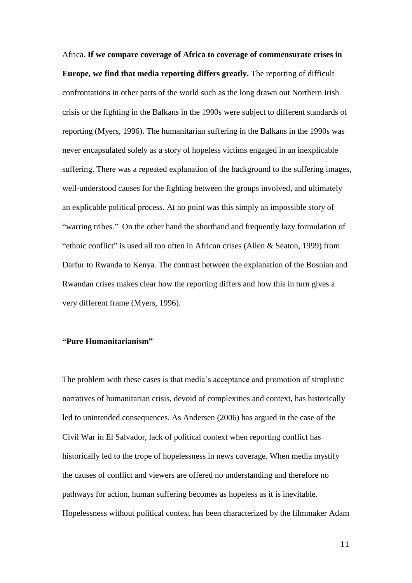Africa. **If we compare coverage of Africa to coverage of commensurate crises in Europe, we find that media reporting differs greatly.** The reporting of difficult confrontations in other parts of the world such as the long drawn out Northern Irish crisis or the fighting in the Balkans in the 1990s were subject to different standards of reporting (Myers, 1996). The humanitarian suffering in the Balkans in the 1990s was never encapsulated solely as a story of hopeless victims engaged in an inexplicable suffering. There was a repeated explanation of the background to the suffering images, well-understood causes for the fighting between the groups involved, and ultimately an explicable political process. At no point was this simply an impossible story of "warring tribes." On the other hand the shorthand and frequently lazy formulation of "ethnic conflict" is used all too often in African crises (Allen & Seaton, 1999) from Darfur to Rwanda to Kenya. The contrast between the explanation of the Bosnian and Rwandan crises makes clear how the reporting differs and how this in turn gives a very different frame (Myers, 1996).

# **"Pure Humanitarianism"**

The problem with these cases is that media's acceptance and promotion of simplistic narratives of humanitarian crisis, devoid of complexities and context, has historically led to unintended consequences. As Andersen (2006) has argued in the case of the Civil War in El Salvador, lack of political context when reporting conflict has historically led to the trope of hopelessness in news coverage. When media mystify the causes of conflict and viewers are offered no understanding and therefore no pathways for action, human suffering becomes as hopeless as it is inevitable. Hopelessness without political context has been characterized by the filmmaker Adam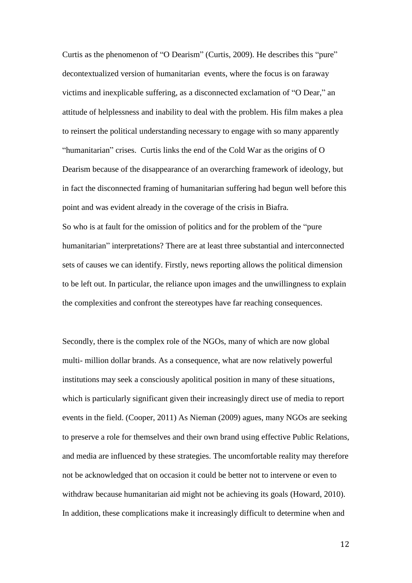Curtis as the phenomenon of "O Dearism" (Curtis, 2009). He describes this "pure" decontextualized version of humanitarian events, where the focus is on faraway victims and inexplicable suffering, as a disconnected exclamation of "O Dear," an attitude of helplessness and inability to deal with the problem. His film makes a plea to reinsert the political understanding necessary to engage with so many apparently "humanitarian" crises. Curtis links the end of the Cold War as the origins of O Dearism because of the disappearance of an overarching framework of ideology, but in fact the disconnected framing of humanitarian suffering had begun well before this point and was evident already in the coverage of the crisis in Biafra. So who is at fault for the omission of politics and for the problem of the "pure humanitarian" interpretations? There are at least three substantial and interconnected sets of causes we can identify. Firstly, news reporting allows the political dimension to be left out. In particular, the reliance upon images and the unwillingness to explain the complexities and confront the stereotypes have far reaching consequences.

Secondly, there is the complex role of the NGOs, many of which are now global multi- million dollar brands. As a consequence, what are now relatively powerful institutions may seek a consciously apolitical position in many of these situations, which is particularly significant given their increasingly direct use of media to report events in the field. (Cooper, 2011) As Nieman (2009) agues, many NGOs are seeking to preserve a role for themselves and their own brand using effective Public Relations, and media are influenced by these strategies. The uncomfortable reality may therefore not be acknowledged that on occasion it could be better not to intervene or even to withdraw because humanitarian aid might not be achieving its goals (Howard, 2010). In addition, these complications make it increasingly difficult to determine when and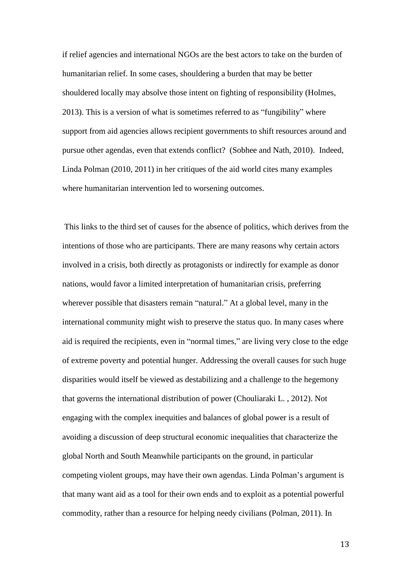if relief agencies and international NGOs are the best actors to take on the burden of humanitarian relief. In some cases, shouldering a burden that may be better shouldered locally may absolve those intent on fighting of responsibility (Holmes, 2013). This is a version of what is sometimes referred to as "fungibility" where support from aid agencies allows recipient governments to shift resources around and pursue other agendas, even that extends conflict? (Sobhee and Nath, 2010). Indeed, Linda Polman (2010, 2011) in her critiques of the aid world cites many examples where humanitarian intervention led to worsening outcomes.

This links to the third set of causes for the absence of politics, which derives from the intentions of those who are participants. There are many reasons why certain actors involved in a crisis, both directly as protagonists or indirectly for example as donor nations, would favor a limited interpretation of humanitarian crisis, preferring wherever possible that disasters remain "natural." At a global level, many in the international community might wish to preserve the status quo. In many cases where aid is required the recipients, even in "normal times," are living very close to the edge of extreme poverty and potential hunger. Addressing the overall causes for such huge disparities would itself be viewed as destabilizing and a challenge to the hegemony that governs the international distribution of power (Chouliaraki L. , 2012). Not engaging with the complex inequities and balances of global power is a result of avoiding a discussion of deep structural economic inequalities that characterize the global North and South Meanwhile participants on the ground, in particular competing violent groups, may have their own agendas. Linda Polman's argument is that many want aid as a tool for their own ends and to exploit as a potential powerful commodity, rather than a resource for helping needy civilians (Polman, 2011). In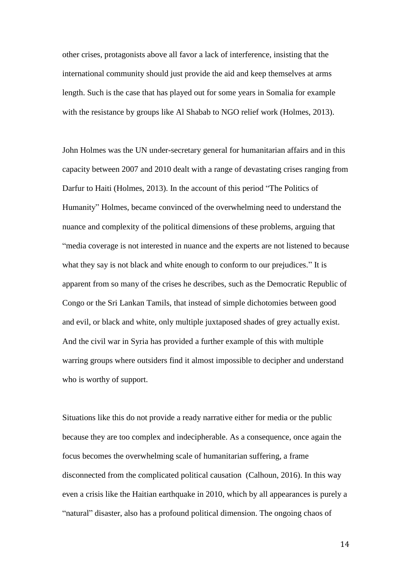other crises, protagonists above all favor a lack of interference, insisting that the international community should just provide the aid and keep themselves at arms length. Such is the case that has played out for some years in Somalia for example with the resistance by groups like Al Shabab to NGO relief work (Holmes, 2013).

John Holmes was the UN under-secretary general for humanitarian affairs and in this capacity between 2007 and 2010 dealt with a range of devastating crises ranging from Darfur to Haiti (Holmes, 2013). In the account of this period "The Politics of Humanity" Holmes, became convinced of the overwhelming need to understand the nuance and complexity of the political dimensions of these problems, arguing that "media coverage is not interested in nuance and the experts are not listened to because what they say is not black and white enough to conform to our prejudices." It is apparent from so many of the crises he describes, such as the Democratic Republic of Congo or the Sri Lankan Tamils, that instead of simple dichotomies between good and evil, or black and white, only multiple juxtaposed shades of grey actually exist. And the civil war in Syria has provided a further example of this with multiple warring groups where outsiders find it almost impossible to decipher and understand who is worthy of support.

Situations like this do not provide a ready narrative either for media or the public because they are too complex and indecipherable. As a consequence, once again the focus becomes the overwhelming scale of humanitarian suffering, a frame disconnected from the complicated political causation (Calhoun, 2016). In this way even a crisis like the Haitian earthquake in 2010, which by all appearances is purely a "natural" disaster, also has a profound political dimension. The ongoing chaos of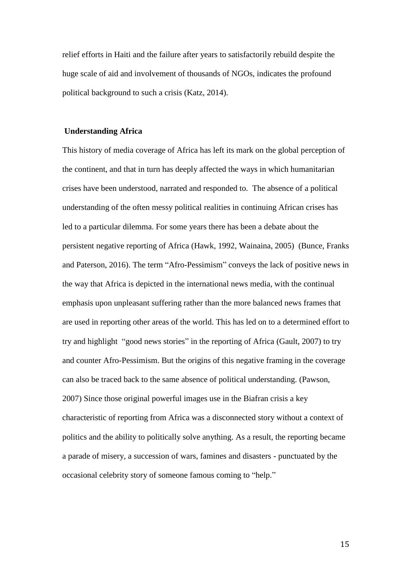relief efforts in Haiti and the failure after years to satisfactorily rebuild despite the huge scale of aid and involvement of thousands of NGOs, indicates the profound political background to such a crisis (Katz, 2014).

#### **Understanding Africa**

This history of media coverage of Africa has left its mark on the global perception of the continent, and that in turn has deeply affected the ways in which humanitarian crises have been understood, narrated and responded to. The absence of a political understanding of the often messy political realities in continuing African crises has led to a particular dilemma. For some years there has been a debate about the persistent negative reporting of Africa (Hawk, 1992, Wainaina, 2005) (Bunce, Franks and Paterson, 2016). The term "Afro-Pessimism" conveys the lack of positive news in the way that Africa is depicted in the international news media, with the continual emphasis upon unpleasant suffering rather than the more balanced news frames that are used in reporting other areas of the world. This has led on to a determined effort to try and highlight "good news stories" in the reporting of Africa (Gault, 2007) to try and counter Afro-Pessimism. But the origins of this negative framing in the coverage can also be traced back to the same absence of political understanding. (Pawson, 2007) Since those original powerful images use in the Biafran crisis a key characteristic of reporting from Africa was a disconnected story without a context of politics and the ability to politically solve anything. As a result, the reporting became a parade of misery, a succession of wars, famines and disasters - punctuated by the occasional celebrity story of someone famous coming to "help."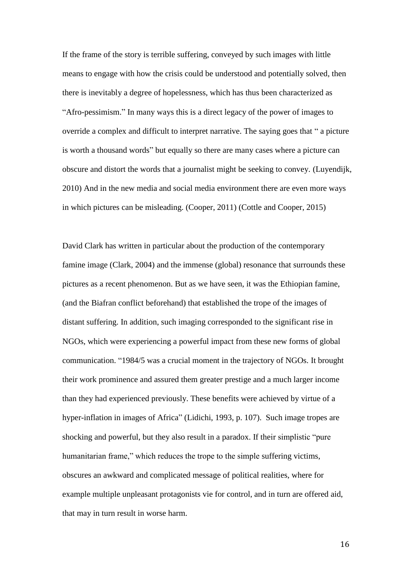If the frame of the story is terrible suffering, conveyed by such images with little means to engage with how the crisis could be understood and potentially solved, then there is inevitably a degree of hopelessness, which has thus been characterized as "Afro-pessimism." In many ways this is a direct legacy of the power of images to override a complex and difficult to interpret narrative. The saying goes that " a picture is worth a thousand words" but equally so there are many cases where a picture can obscure and distort the words that a journalist might be seeking to convey. (Luyendijk, 2010) And in the new media and social media environment there are even more ways in which pictures can be misleading. (Cooper, 2011) (Cottle and Cooper, 2015)

David Clark has written in particular about the production of the contemporary famine image (Clark, 2004) and the immense (global) resonance that surrounds these pictures as a recent phenomenon. But as we have seen, it was the Ethiopian famine, (and the Biafran conflict beforehand) that established the trope of the images of distant suffering. In addition, such imaging corresponded to the significant rise in NGOs, which were experiencing a powerful impact from these new forms of global communication. "1984/5 was a crucial moment in the trajectory of NGOs. It brought their work prominence and assured them greater prestige and a much larger income than they had experienced previously. These benefits were achieved by virtue of a hyper-inflation in images of Africa" (Lidichi, 1993, p. 107). Such image tropes are shocking and powerful, but they also result in a paradox. If their simplistic "pure humanitarian frame," which reduces the trope to the simple suffering victims, obscures an awkward and complicated message of political realities, where for example multiple unpleasant protagonists vie for control, and in turn are offered aid, that may in turn result in worse harm.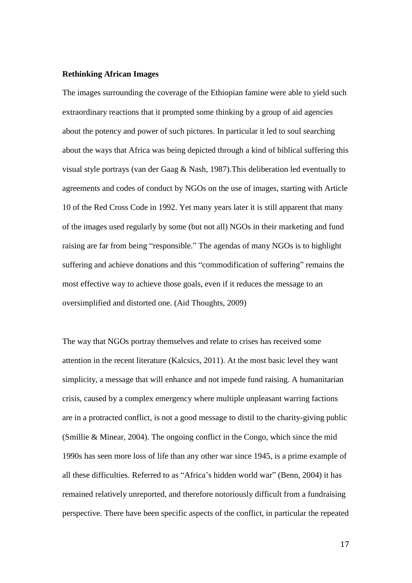#### **Rethinking African Images**

The images surrounding the coverage of the Ethiopian famine were able to yield such extraordinary reactions that it prompted some thinking by a group of aid agencies about the potency and power of such pictures. In particular it led to soul searching about the ways that Africa was being depicted through a kind of biblical suffering this visual style portrays (van der Gaag & Nash, 1987).This deliberation led eventually to agreements and codes of conduct by NGOs on the use of images, starting with Article 10 of the Red Cross Code in 1992. Yet many years later it is still apparent that many of the images used regularly by some (but not all) NGOs in their marketing and fund raising are far from being "responsible." The agendas of many NGOs is to highlight suffering and achieve donations and this "commodification of suffering" remains the most effective way to achieve those goals, even if it reduces the message to an oversimplified and distorted one. (Aid Thoughts, 2009)

The way that NGOs portray themselves and relate to crises has received some attention in the recent literature (Kalcsics, 2011). At the most basic level they want simplicity, a message that will enhance and not impede fund raising. A humanitarian crisis, caused by a complex emergency where multiple unpleasant warring factions are in a protracted conflict, is not a good message to distil to the charity-giving public (Smillie & Minear, 2004). The ongoing conflict in the Congo, which since the mid 1990s has seen more loss of life than any other war since 1945, is a prime example of all these difficulties. Referred to as "Africa's hidden world war" (Benn, 2004) it has remained relatively unreported, and therefore notoriously difficult from a fundraising perspective. There have been specific aspects of the conflict, in particular the repeated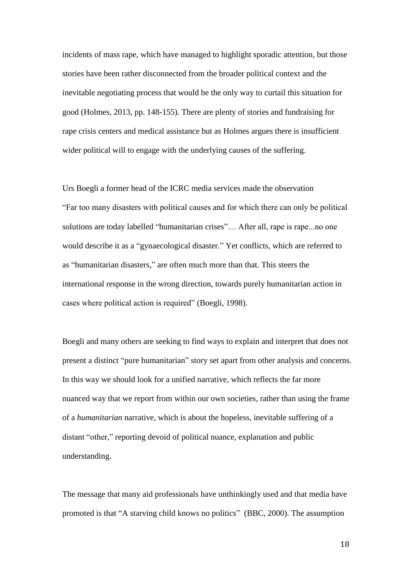incidents of mass rape, which have managed to highlight sporadic attention, but those stories have been rather disconnected from the broader political context and the inevitable negotiating process that would be the only way to curtail this situation for good (Holmes, 2013, pp. 148-155). There are plenty of stories and fundraising for rape crisis centers and medical assistance but as Holmes argues there is insufficient wider political will to engage with the underlying causes of the suffering.

Urs Boegli a former head of the ICRC media services made the observation "Far too many disasters with political causes and for which there can only be political solutions are today labelled "humanitarian crises"… After all, rape is rape...no one would describe it as a "gynaecological disaster." Yet conflicts, which are referred to as "humanitarian disasters," are often much more than that. This steers the international response in the wrong direction, towards purely humanitarian action in cases where political action is required" (Boegli, 1998).

Boegli and many others are seeking to find ways to explain and interpret that does not present a distinct "pure humanitarian" story set apart from other analysis and concerns. In this way we should look for a unified narrative, which reflects the far more nuanced way that we report from within our own societies, rather than using the frame of a *humanitarian* narrative, which is about the hopeless, inevitable suffering of a distant "other," reporting devoid of political nuance, explanation and public understanding.

The message that many aid professionals have unthinkingly used and that media have promoted is that "A starving child knows no politics" (BBC, 2000). The assumption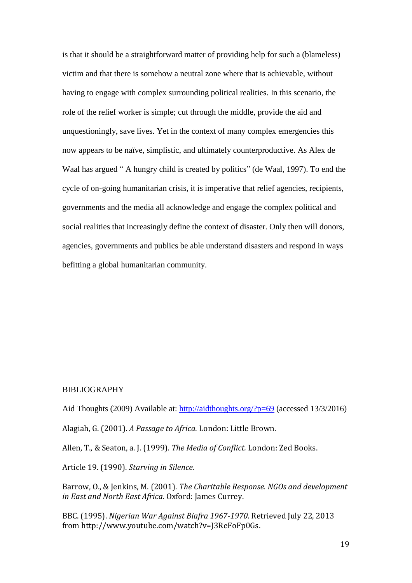is that it should be a straightforward matter of providing help for such a (blameless) victim and that there is somehow a neutral zone where that is achievable, without having to engage with complex surrounding political realities. In this scenario, the role of the relief worker is simple; cut through the middle, provide the aid and unquestioningly, save lives. Yet in the context of many complex emergencies this now appears to be naïve, simplistic, and ultimately counterproductive. As Alex de Waal has argued " A hungry child is created by politics" (de Waal, 1997). To end the cycle of on-going humanitarian crisis, it is imperative that relief agencies, recipients, governments and the media all acknowledge and engage the complex political and social realities that increasingly define the context of disaster. Only then will donors, agencies, governments and publics be able understand disasters and respond in ways befitting a global humanitarian community.

### BIBLIOGRAPHY

Aid Thoughts (2009) Available at:<http://aidthoughts.org/?p=69> (accessed 13/3/2016)

Alagiah, G. (2001). *A Passage to Africa.* London: Little Brown.

Allen, T., & Seaton, a. J. (1999). *The Media of Conflict.* London: Zed Books.

Article 19. (1990). *Starving in Silence.*

Barrow, O., & Jenkins, M. (2001). *The Charitable Response. NGOs and development in East and North East Africa.* Oxford: James Currey.

BBC. (1995). *Nigerian War Against Biafra 1967-1970*. Retrieved July 22, 2013 from http://www.youtube.com/watch?v=J3ReFoFp0Gs.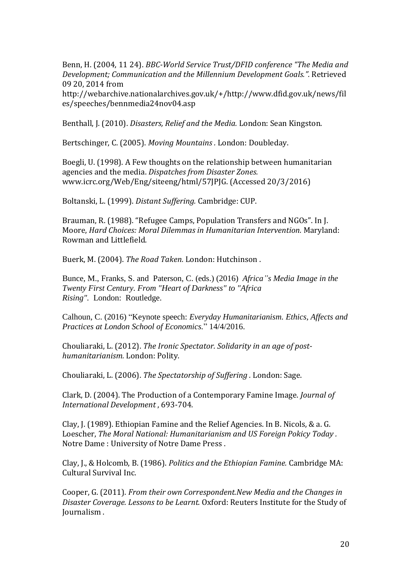Benn, H. (2004, 11 24). *BBC-World Service Trust/DFID conference "The Media and Development; Communication and the Millennium Development Goals.".* Retrieved 09 20, 2014 from

http://webarchive.nationalarchives.gov.uk/+/http://www.dfid.gov.uk/news/fil es/speeches/bennmedia24nov04.asp

Benthall, J. (2010). *Disasters, Relief and the Media.* London: Sean Kingston.

Bertschinger, C. (2005). *Moving Mountains .* London: Doubleday.

Boegli, U. (1998). A Few thoughts on the relationship between humanitarian agencies and the media. *Dispatches from Disaster Zones.* www.icrc.org/Web/Eng/siteeng/html/57JPJG. (Accessed 20/3/2016)

Boltanski, L. (1999). *Distant Suffering.* Cambridge: CUP.

Brauman, R. (1988). "Refugee Camps, Population Transfers and NGOs". In J. Moore, *Hard Choices: Moral Dilemmas in Humanitarian Intervention.* Maryland: Rowman and Littlefield.

Buerk, M. (2004). *The Road Taken.* London: Hutchinson .

Bunce, M., Franks, S. and Paterson, C. (eds.) (2016) *Africa"s Media Image in the Twenty First Century. From "Heart of Darkness" to "Africa Rising".* London: Routledge.

Calhoun, C. (2016) "Keynote speech: *Everyday Humanitarianism. Ethics, Affects and Practices at London School of Economics.*" 14/4/2016.

Chouliaraki, L. (2012). *The Ironic Spectator. Solidarity in an age of posthumanitarianism.* London: Polity.

Chouliaraki, L. (2006). *The Spectatorship of Suffering .* London: Sage.

Clark, D. (2004). The Production of a Contemporary Famine Image. *Journal of International Development* , 693-704.

Clay, J. (1989). Ethiopian Famine and the Relief Agencies. In B. Nicols, & a. G. Loescher, *The Moral National: Humanitarianism and US Foreign Pokicy Today .* Notre Dame : University of Notre Dame Press .

Clay, J., & Holcomb, B. (1986). *Politics and the Ethiopian Famine.* Cambridge MA: Cultural Survival Inc.

Cooper, G. (2011). *From their own Correspondent.New Media and the Changes in Disaster Coverage. Lessons to be Learnt.* Oxford: Reuters Institute for the Study of Journalism .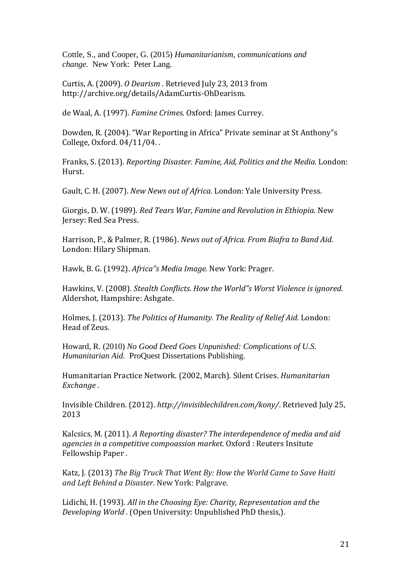Cottle, S., and Cooper, G. (2015) *Humanitarianism, communications and change.* New York: Peter Lang.

Curtis, A. (2009). *O Dearism* . Retrieved July 23, 2013 from http://archive.org/details/AdamCurtis-OhDearism.

de Waal, A. (1997). *Famine Crimes.* Oxford: James Currey.

Dowden, R. (2004). "War Reporting in Africa" Private seminar at St Anthony"s College, Oxford. 04/11/04. .

Franks, S. (2013). *Reporting Disaster. Famine, Aid, Politics and the Media.* London: Hurst.

Gault, C. H. (2007). *New News out of Africa.* London: Yale University Press.

Giorgis, D. W. (1989). *Red Tears War, Famine and Revolution in Ethiopia.* New Jersey: Red Sea Press.

Harrison, P., & Palmer, R. (1986). *News out of Africa. From Biafra to Band Aid.* London: Hilary Shipman.

Hawk, B. G. (1992). *Africa"s Media Image.* New York: Prager.

Hawkins, V. (2008). *Stealth Conflicts. How the World"s Worst Violence is ignored.* Aldershot, Hampshire: Ashgate.

Holmes, J. (2013). *The Politics of Humanity. The Reality of Relief Aid.* London: Head of Zeus.

Howard, R. (2010) *No Good Deed Goes Unpunished: Complications of U.S. Humanitarian Aid.* ProQuest Dissertations Publishing.

Humanitarian Practice Network. (2002, March). Silent Crises. *Humanitarian Exchange* .

Invisible Children. (2012). *http://invisiblechildren.com/kony/*. Retrieved July 25, 2013

Kalcsics, M. (2011). *A Reporting disaster? The interdependence of media and aid agencies in a competitive compoassion market.* Oxford : Reuters Insitute Fellowship Paper .

Katz, J. (2013) *The Big Truck That Went By: How the World Came to Save Haiti and Left Behind a Disaster.* New York: Palgrave.

Lidichi, H. (1993). *All in the Choosing Eye: Charity, Representation and the Developing World .* (Open University: Unpublished PhD thesis,).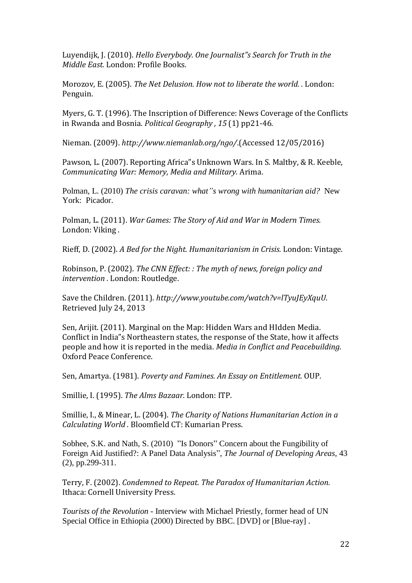Luyendijk, J. (2010). *Hello Everybody. One Journalist"s Search for Truth in the Middle East.* London: Profile Books.

Morozov, E. (2005). *The Net Delusion. How not to liberate the world. .* London: Penguin.

Myers, G. T. (1996). The Inscription of Difference: News Coverage of the Conflicts in Rwanda and Bosnia. *Political Geography , 15* (1) pp21-46.

Nieman. (2009). *http://www.niemanlab.org/ngo/*.(Accessed 12/05/2016)

Pawson, L. (2007). Reporting Africa"s Unknown Wars. In S. Maltby, & R. Keeble, *Communicating War: Memory, Media and Military.* Arima.

Polman, L. (2010) *The crisis caravan: what"s wrong with humanitarian aid?* New York: Picador.

Polman, L. (2011). *War Games: The Story of Aid and War in Modern Times.* London: Viking .

Rieff, D. (2002). *A Bed for the Night. Humanitarianism in Crisis.* London: Vintage.

Robinson, P. (2002). *The CNN Effect: : The myth of news, foreign policy and intervention .* London: Routledge.

Save the Children. (2011). *http://www.youtube.com/watch?v=lTyuJEyXquU*. Retrieved July 24, 2013

Sen, Arijit. (2011). Marginal on the Map: Hidden Wars and HIdden Media. Conflict in India"s Northeastern states, the response of the State, how it affects people and how it is reported in the media. *Media in Conflict and Peacebuilding.* Oxford Peace Conference.

Sen, Amartya. (1981). *Poverty and Famines. An Essay on Entitlement.* OUP.

Smillie, I. (1995). *The Alms Bazaar.* London: ITP.

Smillie, I., & Minear, L. (2004). *The Charity of Nations Humanitarian Action in a Calculating World .* Bloomfield CT: Kumarian Press.

Sobhee, S.K. and Nath, S. (2010) "Is Donors" Concern about the Fungibility of Foreign Aid Justified?: A Panel Data Analysis", *The Journal of Developing Areas,* 43 (2), pp.299-311.

Terry, F. (2002). *Condemned to Repeat. The Paradox of Humanitarian Action.* Ithaca: Cornell University Press.

*Tourists of the Revolution -* Interview with Michael Priestly, former head of UN Special Office in Ethiopia (2000) Directed by BBC. [DVD] or [Blue-ray] .